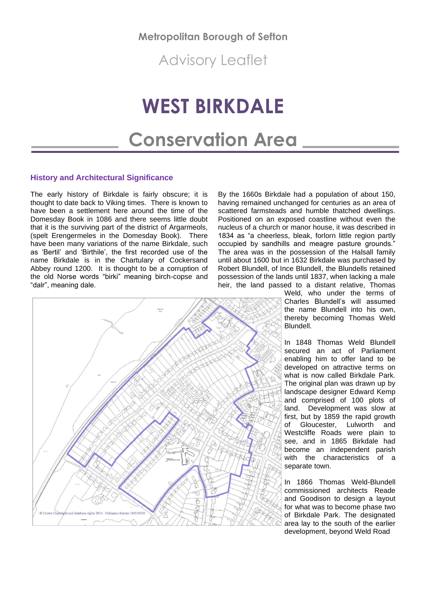**Metropolitan Borough of Sefton**

Advisory Leaflet

# **WEST BIRKDALE**

# **Conservation Area**

# **History and Architectural Significance**

The early history of Birkdale is fairly obscure; it is thought to date back to Viking times. There is known to have been a settlement here around the time of the Domesday Book in 1086 and there seems little doubt that it is the surviving part of the district of Argarmeols, (spelt Erengermeles in the Domesday Book). There have been many variations of the name Birkdale, such as 'Bertil' and 'Birthile', the first recorded use of the name Birkdale is in the Chartulary of Cockersand Abbey round 1200. It is thought to be a corruption of the old Norse words "birki" meaning birch-copse and "dalr", meaning dale.

By the 1660s Birkdale had a population of about 150, having remained unchanged for centuries as an area of scattered farmsteads and humble thatched dwellings. Positioned on an exposed coastline without even the nucleus of a church or manor house, it was described in 1834 as "a cheerless, bleak, forlorn little region partly occupied by sandhills and meagre pasture grounds." The area was in the possession of the Halsall family until about 1600 but in 1632 Birkdale was purchased by Robert Blundell, of Ince Blundell, the Blundells retained possession of the lands until 1837, when lacking a male heir, the land passed to a distant relative, Thomas



Weld, who under the terms of Charles Blundell's will assumed the name Blundell into his own, thereby becoming Thomas Weld **Blundell** 

In 1848 Thomas Weld Blundell secured an act of Parliament enabling him to offer land to be developed on attractive terms on what is now called Birkdale Park. The original plan was drawn up by landscape designer Edward Kemp and comprised of 100 plots of land. Development was slow at first, but by 1859 the rapid growth of Gloucester, Lulworth and Westcliffe Roads were plain to see, and in 1865 Birkdale had become an independent parish with the characteristics of a separate town.

In 1866 Thomas Weld-Blundell commissioned architects Reade and Goodison to design a layout for what was to become phase two of Birkdale Park. The designated area lay to the south of the earlier development, beyond Weld Road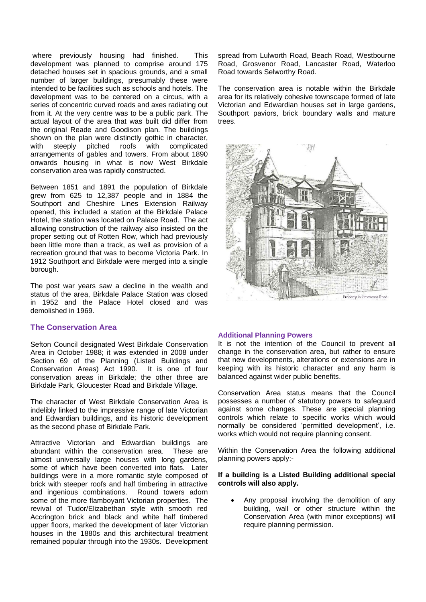where previously housing had finished. This development was planned to comprise around 175 detached houses set in spacious grounds, and a small number of larger buildings, presumably these were intended to be facilities such as schools and hotels. The development was to be centered on a circus, with a series of concentric curved roads and axes radiating out from it. At the very centre was to be a public park. The actual layout of the area that was built did differ from the original Reade and Goodison plan. The buildings shown on the plan were distinctly gothic in character, with steeply pitched roofs with complicated arrangements of gables and towers. From about 1890 onwards housing in what is now West Birkdale conservation area was rapidly constructed.

Between 1851 and 1891 the population of Birkdale grew from 625 to 12,387 people and in 1884 the Southport and Cheshire Lines Extension Railway opened, this included a station at the Birkdale Palace Hotel, the station was located on Palace Road. The act allowing construction of the railway also insisted on the proper setting out of Rotten Row, which had previously been little more than a track, as well as provision of a recreation ground that was to become Victoria Park. In 1912 Southport and Birkdale were merged into a single borough.

The post war years saw a decline in the wealth and status of the area, Birkdale Palace Station was closed in 1952 and the Palace Hotel closed and was demolished in 1969.

## **The Conservation Area**

Sefton Council designated West Birkdale Conservation Area in October 1988; it was extended in 2008 under Section 69 of the Planning (Listed Buildings and Conservation Areas) Act 1990. It is one of four conservation areas in Birkdale; the other three are Birkdale Park, Gloucester Road and Birkdale Village.

The character of West Birkdale Conservation Area is indelibly linked to the impressive range of late Victorian and Edwardian buildings, and its historic development as the second phase of Birkdale Park.

Attractive Victorian and Edwardian buildings are abundant within the conservation area. These are almost universally large houses with long gardens, some of which have been converted into flats. Later buildings were in a more romantic style composed of brick with steeper roofs and half timbering in attractive and ingenious combinations. Round towers adorn some of the more flamboyant Victorian properties. The revival of Tudor/Elizabethan style with smooth red Accrington brick and black and white half timbered upper floors, marked the development of later Victorian houses in the 1880s and this architectural treatment remained popular through into the 1930s. Development

spread from Lulworth Road, Beach Road, Westbourne Road, Grosvenor Road, Lancaster Road, Waterloo Road towards Selworthy Road.

The conservation area is notable within the Birkdale area for its relatively cohesive townscape formed of late Victorian and Edwardian houses set in large gardens, Southport paviors, brick boundary walls and mature trees.



#### **Additional Planning Powers**

It is not the intention of the Council to prevent all change in the conservation area, but rather to ensure that new developments, alterations or extensions are in keeping with its historic character and any harm is balanced against wider public benefits.

Conservation Area status means that the Council possesses a number of statutory powers to safeguard against some changes. These are special planning controls which relate to specific works which would normally be considered 'permitted development', i.e. works which would not require planning consent.

Within the Conservation Area the following additional planning powers apply:-

#### **If a building is a Listed Building additional special controls will also apply.**

• Any proposal involving the demolition of any building, wall or other structure within the Conservation Area (with minor exceptions) will require planning permission.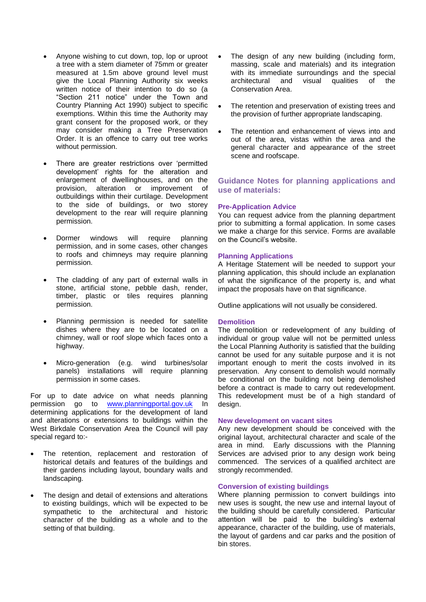- Anyone wishing to cut down, top, lop or uproot a tree with a stem diameter of 75mm or greater measured at 1.5m above ground level must give the Local Planning Authority six weeks written notice of their intention to do so (a "Section 211 notice" under the Town and Country Planning Act 1990) subject to specific exemptions. Within this time the Authority may grant consent for the proposed work, or they may consider making a Tree Preservation Order. It is an offence to carry out tree works without permission.
- There are greater restrictions over 'permitted development' rights for the alteration and enlargement of dwellinghouses, and on the provision, alteration or improvement of outbuildings within their curtilage. Development to the side of buildings, or two storey development to the rear will require planning permission.
- Dormer windows will require planning permission, and in some cases, other changes to roofs and chimneys may require planning permission.
- The cladding of any part of external walls in stone, artificial stone, pebble dash, render, timber, plastic or tiles requires planning permission.
- Planning permission is needed for satellite dishes where they are to be located on a chimney, wall or roof slope which faces onto a highway.
- Micro-generation (e.g. wind turbines/solar panels) installations will require planning permission in some cases.

For up to date advice on what needs planning permission go to [www.planningportal.gov.uk](http://www.planningportal.gov.uk/) In determining applications for the development of land and alterations or extensions to buildings within the West Birkdale Conservation Area the Council will pay special regard to:-

- The retention, replacement and restoration of historical details and features of the buildings and their gardens including layout, boundary walls and landscaping.
- The design and detail of extensions and alterations to existing buildings, which will be expected to be sympathetic to the architectural and historic character of the building as a whole and to the setting of that building.
- The design of any new building (including form, massing, scale and materials) and its integration with its immediate surroundings and the special architectural and visual qualities of the Conservation Area.
- The retention and preservation of existing trees and the provision of further appropriate landscaping.
- The retention and enhancement of views into and out of the area, vistas within the area and the general character and appearance of the street scene and roofscape.

# **Guidance Notes for planning applications and use of materials:**

# **Pre-Application Advice**

You can request advice from the planning department prior to submitting a formal application. In some cases we make a charge for this service. Forms are available on the Council's website.

### **Planning Applications**

A Heritage Statement will be needed to support your planning application, this should include an explanation of what the significance of the property is, and what impact the proposals have on that significance.

Outline applications will not usually be considered.

#### **Demolition**

The demolition or redevelopment of any building of individual or group value will not be permitted unless the Local Planning Authority is satisfied that the building cannot be used for any suitable purpose and it is not important enough to merit the costs involved in its preservation. Any consent to demolish would normally be conditional on the building not being demolished before a contract is made to carry out redevelopment. This redevelopment must be of a high standard of design.

#### **New development on vacant sites**

Any new development should be conceived with the original layout, architectural character and scale of the area in mind. Early discussions with the Planning Services are advised prior to any design work being commenced. The services of a qualified architect are strongly recommended.

#### **Conversion of existing buildings**

Where planning permission to convert buildings into new uses is sought, the new use and internal layout of the building should be carefully considered. Particular attention will be paid to the building's external appearance, character of the building, use of materials, the layout of gardens and car parks and the position of bin stores.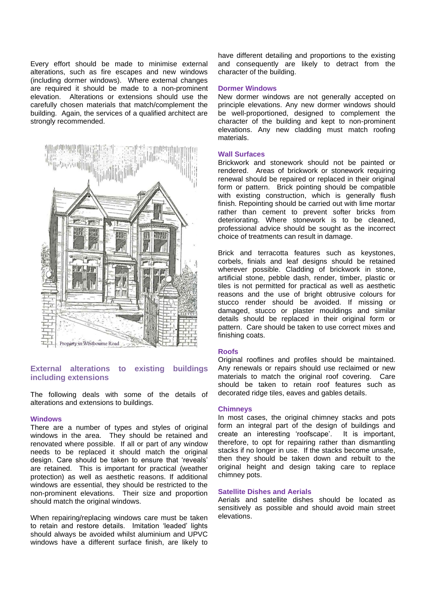Every effort should be made to minimise external alterations, such as fire escapes and new windows (including dormer windows). Where external changes are required it should be made to a non-prominent elevation. Alterations or extensions should use the carefully chosen materials that match/complement the building. Again, the services of a qualified architect are strongly recommended.



# **External alterations to existing buildings including extensions**

The following deals with some of the details of alterations and extensions to buildings.

#### **Windows**

There are a number of types and styles of original windows in the area. They should be retained and renovated where possible. If all or part of any window needs to be replaced it should match the original design. Care should be taken to ensure that 'reveals' are retained. This is important for practical (weather protection) as well as aesthetic reasons. If additional windows are essential, they should be restricted to the non-prominent elevations. Their size and proportion should match the original windows.

When repairing/replacing windows care must be taken to retain and restore details. Imitation 'leaded' lights should always be avoided whilst aluminium and UPVC windows have a different surface finish, are likely to

have different detailing and proportions to the existing and consequently are likely to detract from the character of the building.

#### **Dormer Windows**

New dormer windows are not generally accepted on principle elevations. Any new dormer windows should be well-proportioned, designed to complement the character of the building and kept to non-prominent elevations. Any new cladding must match roofing materials.

#### **Wall Surfaces**

Brickwork and stonework should not be painted or rendered. Areas of brickwork or stonework requiring renewal should be repaired or replaced in their original form or pattern. Brick pointing should be compatible with existing construction, which is generally flush finish. Repointing should be carried out with lime mortar rather than cement to prevent softer bricks from deteriorating. Where stonework is to be cleaned, professional advice should be sought as the incorrect choice of treatments can result in damage.

Brick and terracotta features such as keystones, corbels, finials and leaf designs should be retained wherever possible. Cladding of brickwork in stone, artificial stone, pebble dash, render, timber, plastic or tiles is not permitted for practical as well as aesthetic reasons and the use of bright obtrusive colours for stucco render should be avoided. If missing or damaged, stucco or plaster mouldings and similar details should be replaced in their original form or pattern. Care should be taken to use correct mixes and finishing coats.

#### **Roofs**

Original rooflines and profiles should be maintained. Any renewals or repairs should use reclaimed or new materials to match the original roof covering. Care should be taken to retain roof features such as decorated ridge tiles, eaves and gables details.

#### **Chimneys**

In most cases, the original chimney stacks and pots form an integral part of the design of buildings and create an interesting 'roofscape'. It is important, therefore, to opt for repairing rather than dismantling stacks if no longer in use. If the stacks become unsafe, then they should be taken down and rebuilt to the original height and design taking care to replace chimney pots.

#### **Satellite Dishes and Aerials**

Aerials and satellite dishes should be located as sensitively as possible and should avoid main street elevations.